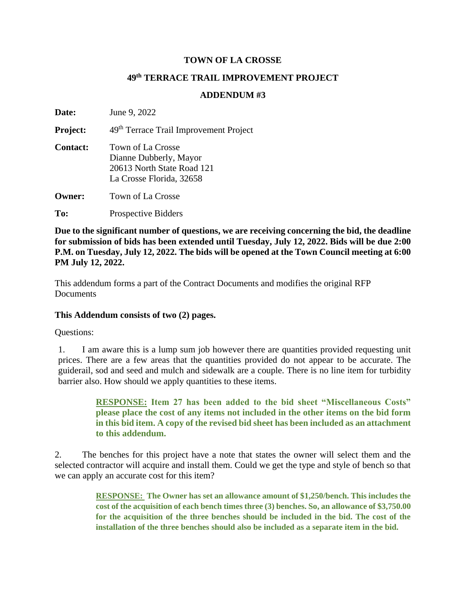## **TOWN OF LA CROSSE**

## **49th TERRACE TRAIL IMPROVEMENT PROJECT**

## **ADDENDUM #3**

**Date:** June 9, 2022 **Project:** 49<sup>th</sup> Terrace Trail Improvement Project **Contact:** Town of La Crosse Dianne Dubberly, Mayor 20613 North State Road 121 La Crosse Florida, 32658 **Owner:** Town of La Crosse To: Prospective Bidders

**Due to the significant number of questions, we are receiving concerning the bid, the deadline for submission of bids has been extended until Tuesday, July 12, 2022. Bids will be due 2:00 P.M. on Tuesday, July 12, 2022. The bids will be opened at the Town Council meeting at 6:00 PM July 12, 2022.** 

This addendum forms a part of the Contract Documents and modifies the original RFP **Documents** 

## **This Addendum consists of two (2) pages.**

Questions:

1. I am aware this is a lump sum job however there are quantities provided requesting unit prices. There are a few areas that the quantities provided do not appear to be accurate. The guiderail, sod and seed and mulch and sidewalk are a couple. There is no line item for turbidity barrier also. How should we apply quantities to these items.

> **RESPONSE: Item 27 has been added to the bid sheet "Miscellaneous Costs" please place the cost of any items not included in the other items on the bid form in this bid item. A copy of the revised bid sheet has been included as an attachment to this addendum.**

2. The benches for this project have a note that states the owner will select them and the selected contractor will acquire and install them. Could we get the type and style of bench so that we can apply an accurate cost for this item?

> **RESPONSE: The Owner has set an allowance amount of \$1,250/bench. This includes the cost of the acquisition of each bench times three (3) benches. So, an allowance of \$3,750.00 for the acquisition of the three benches should be included in the bid. The cost of the installation of the three benches should also be included as a separate item in the bid.**